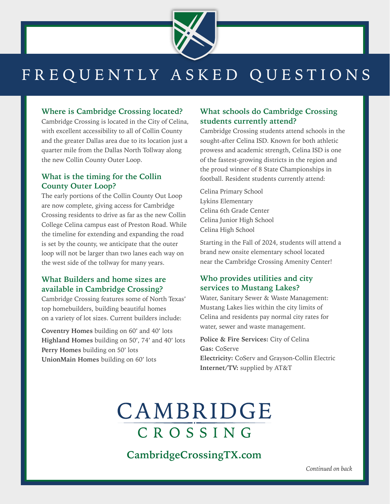

# FREQUENTLY ASKED QUESTIONS

### **Where is Cambridge Crossing located?**

Cambridge Crossing is located in the City of Celina, with excellent accessibility to all of Collin County and the greater Dallas area due to its location just a quarter mile from the Dallas North Tollway along the new Collin County Outer Loop.

### **What is the timing for the Collin County Outer Loop?**

The early portions of the Collin County Out Loop are now complete, giving access for Cambridge Crossing residents to drive as far as the new Collin College Celina campus east of Preston Road. While the timeline for extending and expanding the road is set by the county, we anticipate that the outer loop will not be larger than two lanes each way on the west side of the tollway for many years.

### **What Builders and home sizes are available in Cambridge Crossing?**

Cambridge Crossing features some of North Texas' top homebuilders, building beautiful homes on a variety of lot sizes. Current builders include:

**Coventry Homes** building on 60' and 40' lots **Highland Homes** building on 50', 74' and 40' lots **Perry Homes** building on 50' lots **UnionMain Homes** building on 60' lots

### **What schools do Cambridge Crossing students currently attend?**

Cambridge Crossing students attend schools in the sought-after Celina ISD. Known for both athletic prowess and academic strength, Celina ISD is one of the fastest-growing districts in the region and the proud winner of 8 State Championships in football. Resident students currently attend:

Celina Primary School Lykins Elementary Celina 6th Grade Center Celina Junior High School Celina High School

Starting in the Fall of 2024, students will attend a brand new onsite elementary school located near the Cambridge Crossing Amenity Center!

## **Who provides utilities and city services to Mustang Lakes?**

Water, Sanitary Sewer & Waste Management: Mustang Lakes lies within the city limits of Celina and residents pay normal city rates for water, sewer and waste management.

#### **Police & Fire Services:** City of Celina **Gas:** CoServe

**Electricity:** CoServ and Grayson-Collin Electric **Internet/TV:** supplied by AT&T

# CAMBRIDGE CROSSING

**CambridgeCrossingTX.com**